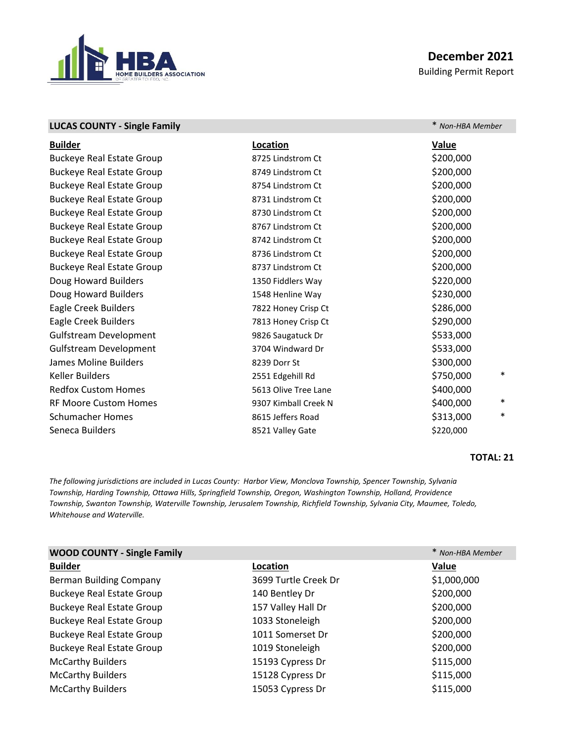

## **December 2021** Building Permit Report

|                      | * Non-HBA Member    |
|----------------------|---------------------|
| Location             | <b>Value</b>        |
| 8725 Lindstrom Ct    | \$200,000           |
| 8749 Lindstrom Ct    | \$200,000           |
| 8754 Lindstrom Ct    | \$200,000           |
| 8731 Lindstrom Ct    | \$200,000           |
| 8730 Lindstrom Ct    | \$200,000           |
| 8767 Lindstrom Ct    | \$200,000           |
| 8742 Lindstrom Ct    | \$200,000           |
| 8736 Lindstrom Ct    | \$200,000           |
| 8737 Lindstrom Ct    | \$200,000           |
| 1350 Fiddlers Way    | \$220,000           |
| 1548 Henline Way     | \$230,000           |
| 7822 Honey Crisp Ct  | \$286,000           |
| 7813 Honey Crisp Ct  | \$290,000           |
| 9826 Saugatuck Dr    | \$533,000           |
| 3704 Windward Dr     | \$533,000           |
| 8239 Dorr St         | \$300,000           |
| 2551 Edgehill Rd     | $\ast$<br>\$750,000 |
| 5613 Olive Tree Lane | \$400,000           |
| 9307 Kimball Creek N | $\ast$<br>\$400,000 |
| 8615 Jeffers Road    | $\ast$<br>\$313,000 |
| 8521 Valley Gate     | \$220,000           |
|                      |                     |

## **TOTAL: 21**

*The following jurisdictions are included in Lucas County: Harbor View, Monclova Township, Spencer Township, Sylvania Township, Harding Township, Ottawa Hills, Springfield Township, Oregon, Washington Township, Holland, Providence Township, Swanton Township, Waterville Township, Jerusalem Township, Richfield Township, Sylvania City, Maumee, Toledo, Whitehouse and Waterville.*

| <b>WOOD COUNTY - Single Family</b> |                      | * Non-HBA Member |
|------------------------------------|----------------------|------------------|
| <b>Builder</b>                     | Location             | Value            |
| <b>Berman Building Company</b>     | 3699 Turtle Creek Dr | \$1,000,000      |
| <b>Buckeye Real Estate Group</b>   | 140 Bentley Dr       | \$200,000        |
| <b>Buckeye Real Estate Group</b>   | 157 Valley Hall Dr   | \$200,000        |
| <b>Buckeye Real Estate Group</b>   | 1033 Stoneleigh      | \$200,000        |
| <b>Buckeye Real Estate Group</b>   | 1011 Somerset Dr     | \$200,000        |
| <b>Buckeye Real Estate Group</b>   | 1019 Stoneleigh      | \$200,000        |
| <b>McCarthy Builders</b>           | 15193 Cypress Dr     | \$115,000        |
| <b>McCarthy Builders</b>           | 15128 Cypress Dr     | \$115,000        |
| <b>McCarthy Builders</b>           | 15053 Cypress Dr     | \$115,000        |